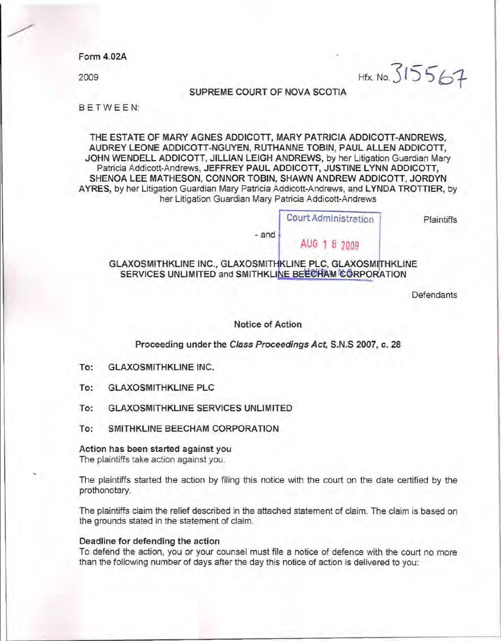Form 4.02A

2009

Hfx. No. 315567

SUPREME COURT OF NOVA SCOTIA

B E TWEEN:

THE ESTATE OF MARY AGNES ADDICOTT, MARY PATRICIA ADDICOTT-ANDREWS, AUDREY LEONE ADDICOTI-NGUYEN, RUTHANNE TOBIN, PAUL ALLEN ADDICOTT, JOHN WENDELL ADDICOTT, JILLIAN LEIGH ANDREWS, by her Litigation Guardian Mary Patricia Addicott-Andrews, JEFFREY PAUL ADDICOTT, JUSTINE lYNN ADDICOTT, SHENOA LEE MATHESON, CONNOR TOBIN, SHAWN ANDREW ADDICOTT, JORDYN AYRES, by her Litigation Guardian Mary Patricia Addicott-Andrews, and LYNDA TROTTIER, by her Litigation Guardian Mary Patricia Addicott-Andrews

Court Administration

AUG 1 8 2009

Plaintiffs

-and

## GLAXOSMITHKLINE INC., GLAXOSMITHKLINE PLC, GLAXOSMITHKLINE SERVICES UNLIMITED and SMITHKLINE BEECHAM CORPORATION

**Defendants** 

### Notice of Action

Proceeding under the Class Proceedings Act, S.N.S 2007, c. 28

- To: GLAXOSMITHKLINE INC.
- To: GLAXOSMITHKLINE PLC
- To: GLAXOSMITHKLINE SERVICES UNLIMITED
- To: SMITHKLINE BEECHAM CORPORATION

Action has been started against you

The plaintiffs take action against you.

The plaintiffs started the action by filing this notice with the court on the date certified by the prothonotary.

The plaintiffs claim the relief described in the attached statement of claim. The claim is based on the grounds stated in the statement of claim.

#### Deadline for defending the action

To defend the action, you or your counsel must file a notice of defence with the court no more than the following number of days after the day this notice of action is delivered to you: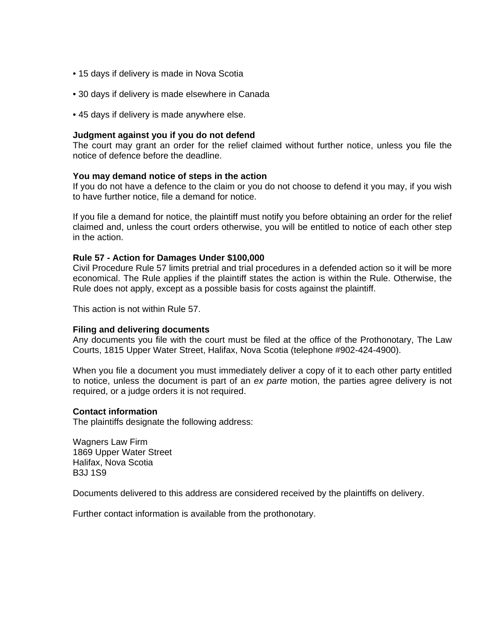- 15 days if delivery is made in Nova Scotia
- 30 days if delivery is made elsewhere in Canada
- 45 days if delivery is made anywhere else.

#### **Judgment against you if you do not defend**

The court may grant an order for the relief claimed without further notice, unless you file the notice of defence before the deadline.

#### **You may demand notice of steps in the action**

If you do not have a defence to the claim or you do not choose to defend it you may, if you wish to have further notice, file a demand for notice.

If you file a demand for notice, the plaintiff must notify you before obtaining an order for the relief claimed and, unless the court orders otherwise, you will be entitled to notice of each other step in the action.

#### **Rule 57 - Action for Damages Under \$100,000**

Civil Procedure Rule 57 limits pretrial and trial procedures in a defended action so it will be more economical. The Rule applies if the plaintiff states the action is within the Rule. Otherwise, the Rule does not apply, except as a possible basis for costs against the plaintiff.

This action is not within Rule 57.

#### **Filing and delivering documents**

Any documents you file with the court must be filed at the office of the Prothonotary, The Law Courts, 1815 Upper Water Street, Halifax, Nova Scotia (telephone #902-424-4900).

When you file a document you must immediately deliver a copy of it to each other party entitled to notice, unless the document is part of an *ex parte* motion, the parties agree delivery is not required, or a judge orders it is not required.

#### **Contact information**

The plaintiffs designate the following address:

Wagners Law Firm 1869 Upper Water Street Halifax, Nova Scotia B3J 1S9

Documents delivered to this address are considered received by the plaintiffs on delivery.

Further contact information is available from the prothonotary.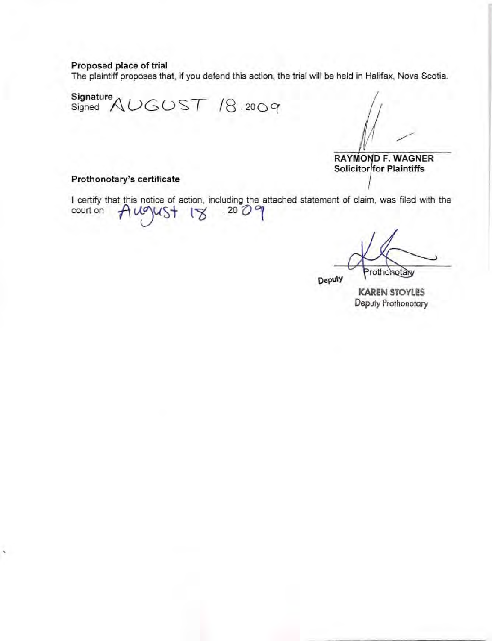## Proposed place of trial

The plaintiff proposes that, if you defend this action, the trial will be held in Halifax, Nova Scotia\_

Signature Signed AUGUST /8 , 200C(

RAYMOND F. WAGNER Solicitor for Plaintiffs

#### Prothonotary's certificate

'

I certify that this notice of action, including the attached statement of claim, was filed with the court on  $\bigcap_{i=1}^{\infty} V(X)$   $\bigcup_{i=1}^{\infty} V(X)$ 

rothonotary

**Deputy** 

**KAREN** STOYLES Deputy Prothonotary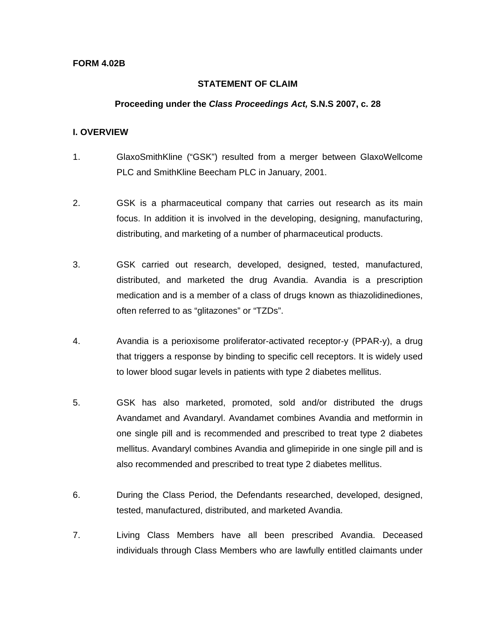### **STATEMENT OF CLAIM**

### **Proceeding under the** *Class Proceedings Act,* **S.N.S 2007, c. 28**

## **I. OVERVIEW**

- 1. GlaxoSmithKline ("GSK") resulted from a merger between GlaxoWellcome PLC and SmithKline Beecham PLC in January, 2001.
- 2. GSK is a pharmaceutical company that carries out research as its main focus. In addition it is involved in the developing, designing, manufacturing, distributing, and marketing of a number of pharmaceutical products.
- 3. GSK carried out research, developed, designed, tested, manufactured, distributed, and marketed the drug Avandia. Avandia is a prescription medication and is a member of a class of drugs known as thiazolidinediones, often referred to as "glitazones" or "TZDs".
- 4. Avandia is a perioxisome proliferator-activated receptor-y (PPAR-y), a drug that triggers a response by binding to specific cell receptors. It is widely used to lower blood sugar levels in patients with type 2 diabetes mellitus.
- 5. GSK has also marketed, promoted, sold and/or distributed the drugs Avandamet and Avandaryl. Avandamet combines Avandia and metformin in one single pill and is recommended and prescribed to treat type 2 diabetes mellitus. Avandaryl combines Avandia and glimepiride in one single pill and is also recommended and prescribed to treat type 2 diabetes mellitus.
- 6. During the Class Period, the Defendants researched, developed, designed, tested, manufactured, distributed, and marketed Avandia.
- 7. Living Class Members have all been prescribed Avandia. Deceased individuals through Class Members who are lawfully entitled claimants under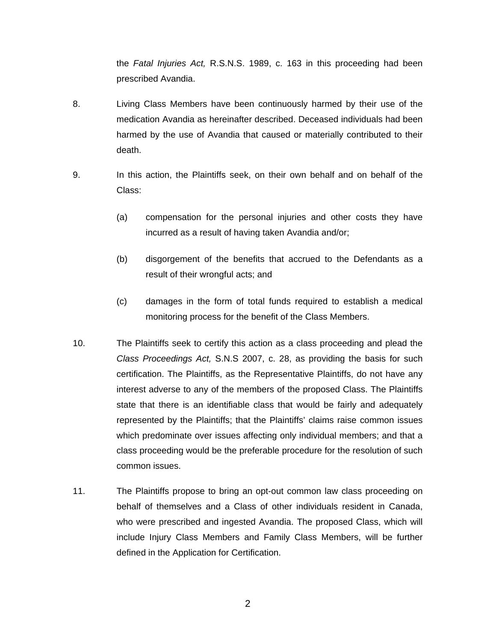the *Fatal Injuries Act,* R.S.N.S. 1989, c. 163 in this proceeding had been prescribed Avandia.

- 8. Living Class Members have been continuously harmed by their use of the medication Avandia as hereinafter described. Deceased individuals had been harmed by the use of Avandia that caused or materially contributed to their death.
- 9. In this action, the Plaintiffs seek, on their own behalf and on behalf of the Class:
	- (a) compensation for the personal injuries and other costs they have incurred as a result of having taken Avandia and/or;
	- (b) disgorgement of the benefits that accrued to the Defendants as a result of their wrongful acts; and
	- (c) damages in the form of total funds required to establish a medical monitoring process for the benefit of the Class Members.
- 10. The Plaintiffs seek to certify this action as a class proceeding and plead the *Class Proceedings Act,* S.N.S 2007, c. 28, as providing the basis for such certification. The Plaintiffs, as the Representative Plaintiffs, do not have any interest adverse to any of the members of the proposed Class. The Plaintiffs state that there is an identifiable class that would be fairly and adequately represented by the Plaintiffs; that the Plaintiffs' claims raise common issues which predominate over issues affecting only individual members; and that a class proceeding would be the preferable procedure for the resolution of such common issues.
- 11. The Plaintiffs propose to bring an opt-out common law class proceeding on behalf of themselves and a Class of other individuals resident in Canada, who were prescribed and ingested Avandia. The proposed Class, which will include Injury Class Members and Family Class Members, will be further defined in the Application for Certification.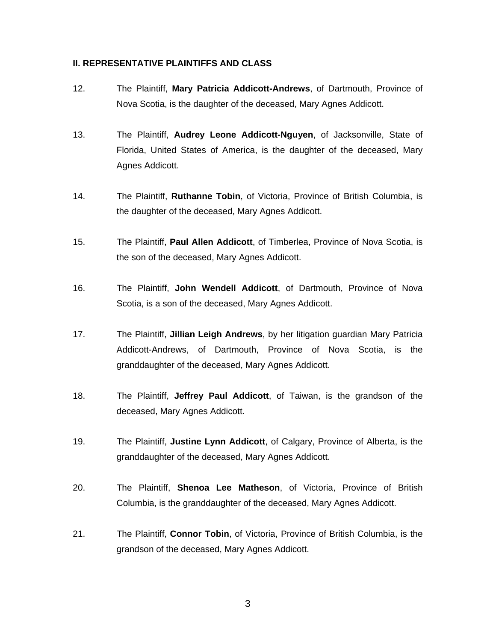## **II. REPRESENTATIVE PLAINTIFFS AND CLASS**

- 12. The Plaintiff, **Mary Patricia Addicott-Andrews**, of Dartmouth, Province of Nova Scotia, is the daughter of the deceased, Mary Agnes Addicott.
- 13. The Plaintiff, **Audrey Leone Addicott-Nguyen**, of Jacksonville, State of Florida, United States of America, is the daughter of the deceased, Mary Agnes Addicott.
- 14. The Plaintiff, **Ruthanne Tobin**, of Victoria, Province of British Columbia, is the daughter of the deceased, Mary Agnes Addicott.
- 15. The Plaintiff, **Paul Allen Addicott**, of Timberlea, Province of Nova Scotia, is the son of the deceased, Mary Agnes Addicott.
- 16. The Plaintiff, **John Wendell Addicott**, of Dartmouth, Province of Nova Scotia, is a son of the deceased, Mary Agnes Addicott.
- 17. The Plaintiff, **Jillian Leigh Andrews**, by her litigation guardian Mary Patricia Addicott-Andrews, of Dartmouth, Province of Nova Scotia, is the granddaughter of the deceased, Mary Agnes Addicott.
- 18. The Plaintiff, **Jeffrey Paul Addicott**, of Taiwan, is the grandson of the deceased, Mary Agnes Addicott.
- 19. The Plaintiff, **Justine Lynn Addicott**, of Calgary, Province of Alberta, is the granddaughter of the deceased, Mary Agnes Addicott.
- 20. The Plaintiff, **Shenoa Lee Matheson**, of Victoria, Province of British Columbia, is the granddaughter of the deceased, Mary Agnes Addicott.
- 21. The Plaintiff, **Connor Tobin**, of Victoria, Province of British Columbia, is the grandson of the deceased, Mary Agnes Addicott.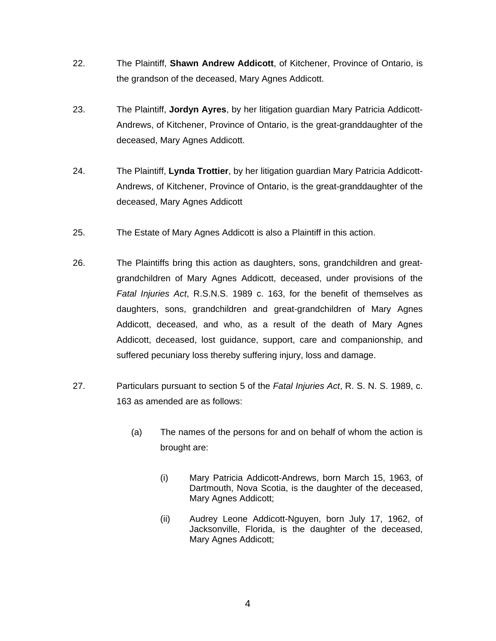- 22. The Plaintiff, **Shawn Andrew Addicott**, of Kitchener, Province of Ontario, is the grandson of the deceased, Mary Agnes Addicott.
- 23. The Plaintiff, **Jordyn Ayres**, by her litigation guardian Mary Patricia Addicott-Andrews, of Kitchener, Province of Ontario, is the great-granddaughter of the deceased, Mary Agnes Addicott.
- 24. The Plaintiff, **Lynda Trottier**, by her litigation guardian Mary Patricia Addicott-Andrews, of Kitchener, Province of Ontario, is the great-granddaughter of the deceased, Mary Agnes Addicott
- 25. The Estate of Mary Agnes Addicott is also a Plaintiff in this action.
- 26. The Plaintiffs bring this action as daughters, sons, grandchildren and greatgrandchildren of Mary Agnes Addicott, deceased, under provisions of the *Fatal Injuries Act*, R.S.N.S. 1989 c. 163, for the benefit of themselves as daughters, sons, grandchildren and great-grandchildren of Mary Agnes Addicott, deceased, and who, as a result of the death of Mary Agnes Addicott, deceased, lost guidance, support, care and companionship, and suffered pecuniary loss thereby suffering injury, loss and damage.
- 27. Particulars pursuant to section 5 of the *Fatal Injuries Act*, R. S. N. S. 1989, c. 163 as amended are as follows:
	- (a) The names of the persons for and on behalf of whom the action is brought are:
		- (i) Mary Patricia Addicott-Andrews, born March 15, 1963, of Dartmouth, Nova Scotia, is the daughter of the deceased, Mary Agnes Addicott;
		- (ii) Audrey Leone Addicott-Nguyen, born July 17, 1962, of Jacksonville, Florida, is the daughter of the deceased, Mary Agnes Addicott;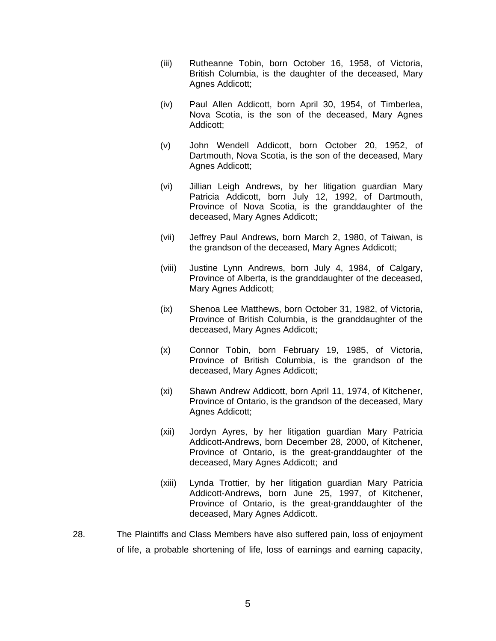- (iii) Rutheanne Tobin, born October 16, 1958, of Victoria, British Columbia, is the daughter of the deceased, Mary Agnes Addicott;
- (iv) Paul Allen Addicott, born April 30, 1954, of Timberlea, Nova Scotia, is the son of the deceased, Mary Agnes Addicott;
- (v) John Wendell Addicott, born October 20, 1952, of Dartmouth, Nova Scotia, is the son of the deceased, Mary Agnes Addicott;
- (vi) Jillian Leigh Andrews, by her litigation guardian Mary Patricia Addicott, born July 12, 1992, of Dartmouth, Province of Nova Scotia, is the granddaughter of the deceased, Mary Agnes Addicott;
- (vii) Jeffrey Paul Andrews, born March 2, 1980, of Taiwan, is the grandson of the deceased, Mary Agnes Addicott;
- (viii) Justine Lynn Andrews, born July 4, 1984, of Calgary, Province of Alberta, is the granddaughter of the deceased, Mary Agnes Addicott;
- (ix) Shenoa Lee Matthews, born October 31, 1982, of Victoria, Province of British Columbia, is the granddaughter of the deceased, Mary Agnes Addicott;
- (x) Connor Tobin, born February 19, 1985, of Victoria, Province of British Columbia, is the grandson of the deceased, Mary Agnes Addicott;
- (xi) Shawn Andrew Addicott, born April 11, 1974, of Kitchener, Province of Ontario, is the grandson of the deceased, Mary Agnes Addicott;
- (xii) Jordyn Ayres, by her litigation guardian Mary Patricia Addicott-Andrews, born December 28, 2000, of Kitchener, Province of Ontario, is the great-granddaughter of the deceased, Mary Agnes Addicott; and
- (xiii) Lynda Trottier, by her litigation guardian Mary Patricia Addicott-Andrews, born June 25, 1997, of Kitchener, Province of Ontario, is the great-granddaughter of the deceased, Mary Agnes Addicott.
- 28. The Plaintiffs and Class Members have also suffered pain, loss of enjoyment of life, a probable shortening of life, loss of earnings and earning capacity,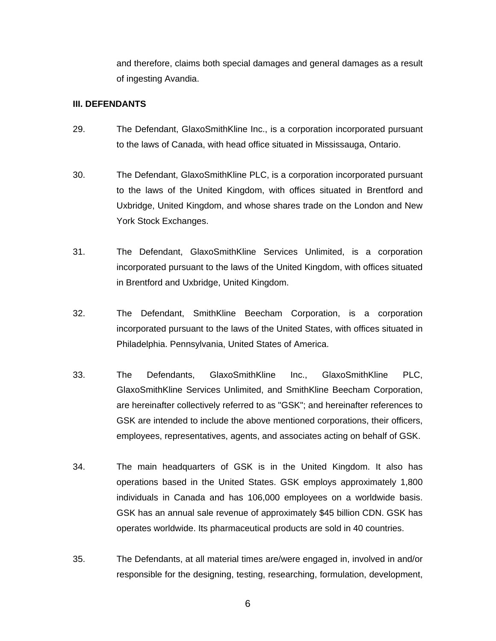and therefore, claims both special damages and general damages as a result of ingesting Avandia.

## **III. DEFENDANTS**

- 29. The Defendant, GlaxoSmithKline Inc., is a corporation incorporated pursuant to the laws of Canada, with head office situated in Mississauga, Ontario.
- 30. The Defendant, GlaxoSmithKline PLC, is a corporation incorporated pursuant to the laws of the United Kingdom, with offices situated in Brentford and Uxbridge, United Kingdom, and whose shares trade on the London and New York Stock Exchanges.
- 31. The Defendant, GlaxoSmithKline Services Unlimited, is a corporation incorporated pursuant to the laws of the United Kingdom, with offices situated in Brentford and Uxbridge, United Kingdom.
- 32. The Defendant, SmithKline Beecham Corporation, is a corporation incorporated pursuant to the laws of the United States, with offices situated in Philadelphia. Pennsylvania, United States of America.
- 33. The Defendants, GlaxoSmithKline Inc., GlaxoSmithKline PLC, GlaxoSmithKline Services Unlimited, and SmithKline Beecham Corporation, are hereinafter collectively referred to as "GSK"; and hereinafter references to GSK are intended to include the above mentioned corporations, their officers, employees, representatives, agents, and associates acting on behalf of GSK.
- 34. The main headquarters of GSK is in the United Kingdom. It also has operations based in the United States. GSK employs approximately 1,800 individuals in Canada and has 106,000 employees on a worldwide basis. GSK has an annual sale revenue of approximately \$45 billion CDN. GSK has operates worldwide. Its pharmaceutical products are sold in 40 countries.
- 35. The Defendants, at all material times are/were engaged in, involved in and/or responsible for the designing, testing, researching, formulation, development,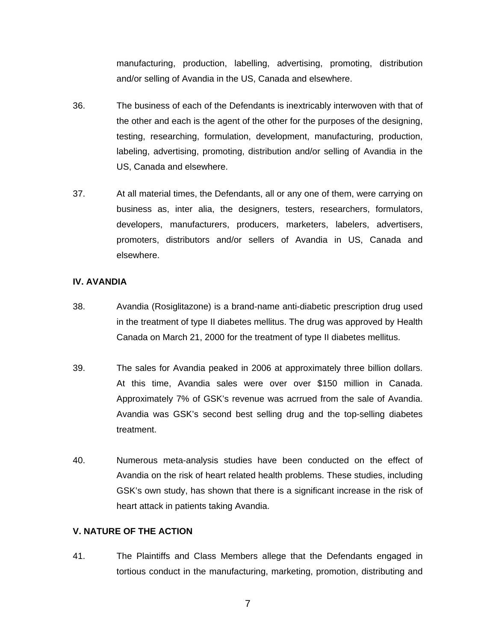manufacturing, production, labelling, advertising, promoting, distribution and/or selling of Avandia in the US, Canada and elsewhere.

- 36. The business of each of the Defendants is inextricably interwoven with that of the other and each is the agent of the other for the purposes of the designing, testing, researching, formulation, development, manufacturing, production, labeling, advertising, promoting, distribution and/or selling of Avandia in the US, Canada and elsewhere.
- 37. At all material times, the Defendants, all or any one of them, were carrying on business as, inter alia, the designers, testers, researchers, formulators, developers, manufacturers, producers, marketers, labelers, advertisers, promoters, distributors and/or sellers of Avandia in US, Canada and elsewhere.

## **IV. AVANDIA**

- 38. Avandia (Rosiglitazone) is a brand-name anti-diabetic prescription drug used in the treatment of type II diabetes mellitus. The drug was approved by Health Canada on March 21, 2000 for the treatment of type II diabetes mellitus.
- 39. The sales for Avandia peaked in 2006 at approximately three billion dollars. At this time, Avandia sales were over over \$150 million in Canada. Approximately 7% of GSK's revenue was acrrued from the sale of Avandia. Avandia was GSK's second best selling drug and the top-selling diabetes treatment.
- 40. Numerous meta-analysis studies have been conducted on the effect of Avandia on the risk of heart related health problems. These studies, including GSK's own study, has shown that there is a significant increase in the risk of heart attack in patients taking Avandia.

## **V. NATURE OF THE ACTION**

41. The Plaintiffs and Class Members allege that the Defendants engaged in tortious conduct in the manufacturing, marketing, promotion, distributing and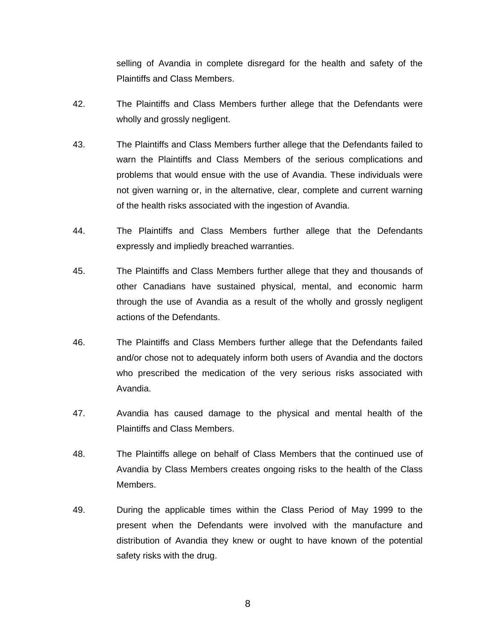selling of Avandia in complete disregard for the health and safety of the Plaintiffs and Class Members.

- 42. The Plaintiffs and Class Members further allege that the Defendants were wholly and grossly negligent.
- 43. The Plaintiffs and Class Members further allege that the Defendants failed to warn the Plaintiffs and Class Members of the serious complications and problems that would ensue with the use of Avandia. These individuals were not given warning or, in the alternative, clear, complete and current warning of the health risks associated with the ingestion of Avandia.
- 44. The Plaintiffs and Class Members further allege that the Defendants expressly and impliedly breached warranties.
- 45. The Plaintiffs and Class Members further allege that they and thousands of other Canadians have sustained physical, mental, and economic harm through the use of Avandia as a result of the wholly and grossly negligent actions of the Defendants.
- 46. The Plaintiffs and Class Members further allege that the Defendants failed and/or chose not to adequately inform both users of Avandia and the doctors who prescribed the medication of the very serious risks associated with Avandia.
- 47. Avandia has caused damage to the physical and mental health of the Plaintiffs and Class Members.
- 48. The Plaintiffs allege on behalf of Class Members that the continued use of Avandia by Class Members creates ongoing risks to the health of the Class Members.
- 49. During the applicable times within the Class Period of May 1999 to the present when the Defendants were involved with the manufacture and distribution of Avandia they knew or ought to have known of the potential safety risks with the drug.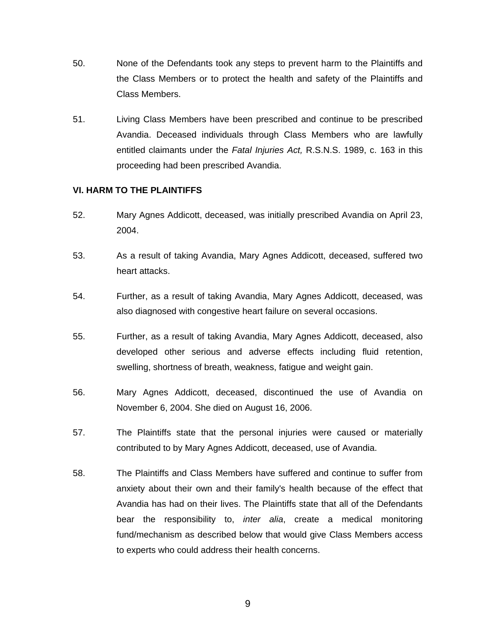- 50. None of the Defendants took any steps to prevent harm to the Plaintiffs and the Class Members or to protect the health and safety of the Plaintiffs and Class Members.
- 51. Living Class Members have been prescribed and continue to be prescribed Avandia. Deceased individuals through Class Members who are lawfully entitled claimants under the *Fatal Injuries Act,* R.S.N.S. 1989, c. 163 in this proceeding had been prescribed Avandia.

## **VI. HARM TO THE PLAINTIFFS**

- 52. Mary Agnes Addicott, deceased, was initially prescribed Avandia on April 23, 2004.
- 53. As a result of taking Avandia, Mary Agnes Addicott, deceased, suffered two heart attacks.
- 54. Further, as a result of taking Avandia, Mary Agnes Addicott, deceased, was also diagnosed with congestive heart failure on several occasions.
- 55. Further, as a result of taking Avandia, Mary Agnes Addicott, deceased, also developed other serious and adverse effects including fluid retention, swelling, shortness of breath, weakness, fatigue and weight gain.
- 56. Mary Agnes Addicott, deceased, discontinued the use of Avandia on November 6, 2004. She died on August 16, 2006.
- 57. The Plaintiffs state that the personal injuries were caused or materially contributed to by Mary Agnes Addicott, deceased, use of Avandia.
- 58. The Plaintiffs and Class Members have suffered and continue to suffer from anxiety about their own and their family's health because of the effect that Avandia has had on their lives. The Plaintiffs state that all of the Defendants bear the responsibility to, *inter alia*, create a medical monitoring fund/mechanism as described below that would give Class Members access to experts who could address their health concerns.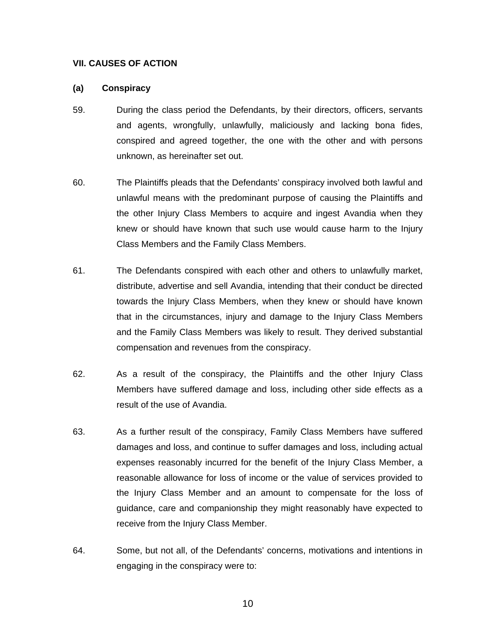### **VII. CAUSES OF ACTION**

#### **(a) Conspiracy**

- 59. During the class period the Defendants, by their directors, officers, servants and agents, wrongfully, unlawfully, maliciously and lacking bona fides, conspired and agreed together, the one with the other and with persons unknown, as hereinafter set out.
- 60. The Plaintiffs pleads that the Defendants' conspiracy involved both lawful and unlawful means with the predominant purpose of causing the Plaintiffs and the other Injury Class Members to acquire and ingest Avandia when they knew or should have known that such use would cause harm to the Injury Class Members and the Family Class Members.
- 61. The Defendants conspired with each other and others to unlawfully market, distribute, advertise and sell Avandia, intending that their conduct be directed towards the Injury Class Members, when they knew or should have known that in the circumstances, injury and damage to the Injury Class Members and the Family Class Members was likely to result. They derived substantial compensation and revenues from the conspiracy.
- 62. As a result of the conspiracy, the Plaintiffs and the other Injury Class Members have suffered damage and loss, including other side effects as a result of the use of Avandia.
- 63. As a further result of the conspiracy, Family Class Members have suffered damages and loss, and continue to suffer damages and loss, including actual expenses reasonably incurred for the benefit of the Injury Class Member, a reasonable allowance for loss of income or the value of services provided to the Injury Class Member and an amount to compensate for the loss of guidance, care and companionship they might reasonably have expected to receive from the Injury Class Member.
- 64. Some, but not all, of the Defendants' concerns, motivations and intentions in engaging in the conspiracy were to: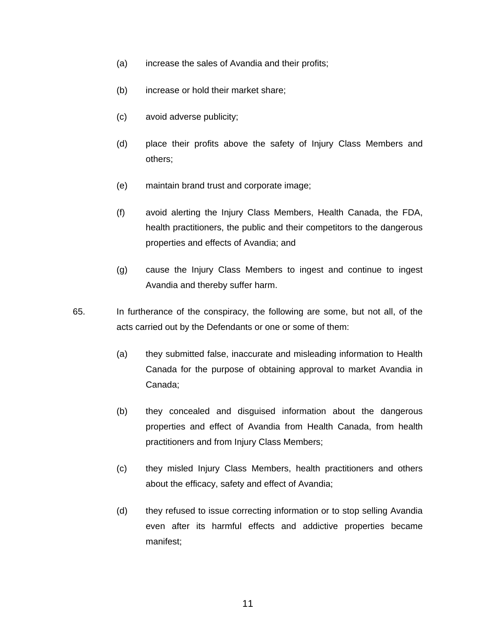- (a) increase the sales of Avandia and their profits;
- (b) increase or hold their market share;
- (c) avoid adverse publicity;
- (d) place their profits above the safety of Injury Class Members and others;
- (e) maintain brand trust and corporate image;
- (f) avoid alerting the Injury Class Members, Health Canada, the FDA, health practitioners, the public and their competitors to the dangerous properties and effects of Avandia; and
- (g) cause the Injury Class Members to ingest and continue to ingest Avandia and thereby suffer harm.
- 65. In furtherance of the conspiracy, the following are some, but not all, of the acts carried out by the Defendants or one or some of them:
	- (a) they submitted false, inaccurate and misleading information to Health Canada for the purpose of obtaining approval to market Avandia in Canada;
	- (b) they concealed and disguised information about the dangerous properties and effect of Avandia from Health Canada, from health practitioners and from Injury Class Members;
	- (c) they misled Injury Class Members, health practitioners and others about the efficacy, safety and effect of Avandia;
	- (d) they refused to issue correcting information or to stop selling Avandia even after its harmful effects and addictive properties became manifest;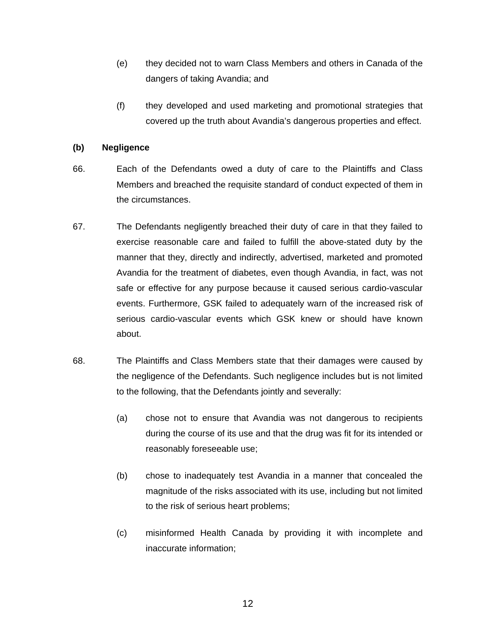- (e) they decided not to warn Class Members and others in Canada of the dangers of taking Avandia; and
- (f) they developed and used marketing and promotional strategies that covered up the truth about Avandia's dangerous properties and effect.

## **(b) Negligence**

- 66. Each of the Defendants owed a duty of care to the Plaintiffs and Class Members and breached the requisite standard of conduct expected of them in the circumstances.
- 67. The Defendants negligently breached their duty of care in that they failed to exercise reasonable care and failed to fulfill the above-stated duty by the manner that they, directly and indirectly, advertised, marketed and promoted Avandia for the treatment of diabetes, even though Avandia, in fact, was not safe or effective for any purpose because it caused serious cardio-vascular events. Furthermore, GSK failed to adequately warn of the increased risk of serious cardio-vascular events which GSK knew or should have known about.
- 68. The Plaintiffs and Class Members state that their damages were caused by the negligence of the Defendants. Such negligence includes but is not limited to the following, that the Defendants jointly and severally:
	- (a) chose not to ensure that Avandia was not dangerous to recipients during the course of its use and that the drug was fit for its intended or reasonably foreseeable use;
	- (b) chose to inadequately test Avandia in a manner that concealed the magnitude of the risks associated with its use, including but not limited to the risk of serious heart problems;
	- (c) misinformed Health Canada by providing it with incomplete and inaccurate information;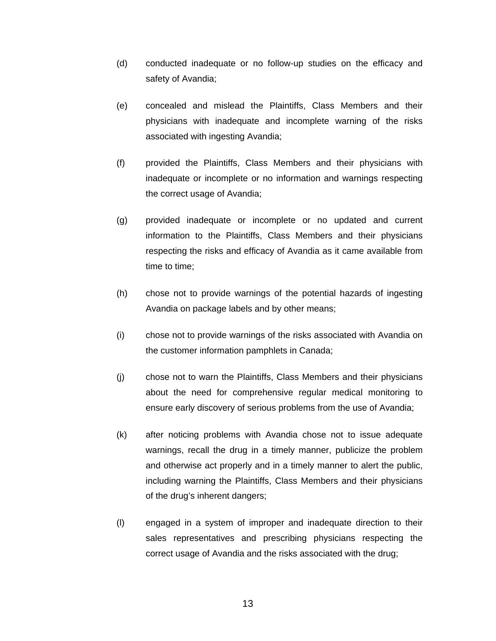- (d) conducted inadequate or no follow-up studies on the efficacy and safety of Avandia;
- (e) concealed and mislead the Plaintiffs, Class Members and their physicians with inadequate and incomplete warning of the risks associated with ingesting Avandia;
- (f) provided the Plaintiffs, Class Members and their physicians with inadequate or incomplete or no information and warnings respecting the correct usage of Avandia;
- (g) provided inadequate or incomplete or no updated and current information to the Plaintiffs, Class Members and their physicians respecting the risks and efficacy of Avandia as it came available from time to time;
- (h) chose not to provide warnings of the potential hazards of ingesting Avandia on package labels and by other means;
- (i) chose not to provide warnings of the risks associated with Avandia on the customer information pamphlets in Canada;
- (j) chose not to warn the Plaintiffs, Class Members and their physicians about the need for comprehensive regular medical monitoring to ensure early discovery of serious problems from the use of Avandia;
- (k) after noticing problems with Avandia chose not to issue adequate warnings, recall the drug in a timely manner, publicize the problem and otherwise act properly and in a timely manner to alert the public, including warning the Plaintiffs, Class Members and their physicians of the drug's inherent dangers;
- (l) engaged in a system of improper and inadequate direction to their sales representatives and prescribing physicians respecting the correct usage of Avandia and the risks associated with the drug;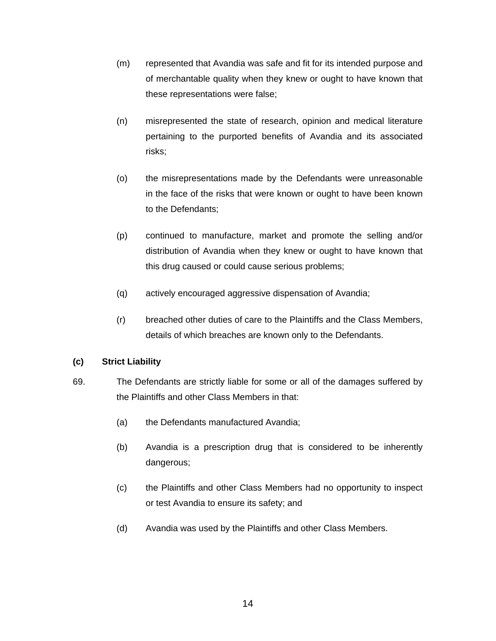- (m) represented that Avandia was safe and fit for its intended purpose and of merchantable quality when they knew or ought to have known that these representations were false;
- (n) misrepresented the state of research, opinion and medical literature pertaining to the purported benefits of Avandia and its associated risks;
- (o) the misrepresentations made by the Defendants were unreasonable in the face of the risks that were known or ought to have been known to the Defendants;
- (p) continued to manufacture, market and promote the selling and/or distribution of Avandia when they knew or ought to have known that this drug caused or could cause serious problems;
- (q) actively encouraged aggressive dispensation of Avandia;
- (r) breached other duties of care to the Plaintiffs and the Class Members, details of which breaches are known only to the Defendants.

# **(c) Strict Liability**

- 69. The Defendants are strictly liable for some or all of the damages suffered by the Plaintiffs and other Class Members in that:
	- (a) the Defendants manufactured Avandia;
	- (b) Avandia is a prescription drug that is considered to be inherently dangerous;
	- (c) the Plaintiffs and other Class Members had no opportunity to inspect or test Avandia to ensure its safety; and
	- (d) Avandia was used by the Plaintiffs and other Class Members.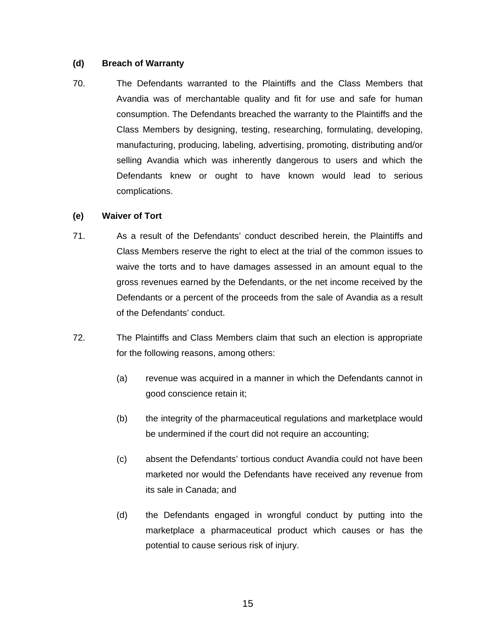## **(d) Breach of Warranty**

70. The Defendants warranted to the Plaintiffs and the Class Members that Avandia was of merchantable quality and fit for use and safe for human consumption. The Defendants breached the warranty to the Plaintiffs and the Class Members by designing, testing, researching, formulating, developing, manufacturing, producing, labeling, advertising, promoting, distributing and/or selling Avandia which was inherently dangerous to users and which the Defendants knew or ought to have known would lead to serious complications.

## **(e) Waiver of Tort**

- 71. As a result of the Defendants' conduct described herein, the Plaintiffs and Class Members reserve the right to elect at the trial of the common issues to waive the torts and to have damages assessed in an amount equal to the gross revenues earned by the Defendants, or the net income received by the Defendants or a percent of the proceeds from the sale of Avandia as a result of the Defendants' conduct.
- 72. The Plaintiffs and Class Members claim that such an election is appropriate for the following reasons, among others:
	- (a) revenue was acquired in a manner in which the Defendants cannot in good conscience retain it;
	- (b) the integrity of the pharmaceutical regulations and marketplace would be undermined if the court did not require an accounting;
	- (c) absent the Defendants' tortious conduct Avandia could not have been marketed nor would the Defendants have received any revenue from its sale in Canada; and
	- (d) the Defendants engaged in wrongful conduct by putting into the marketplace a pharmaceutical product which causes or has the potential to cause serious risk of injury.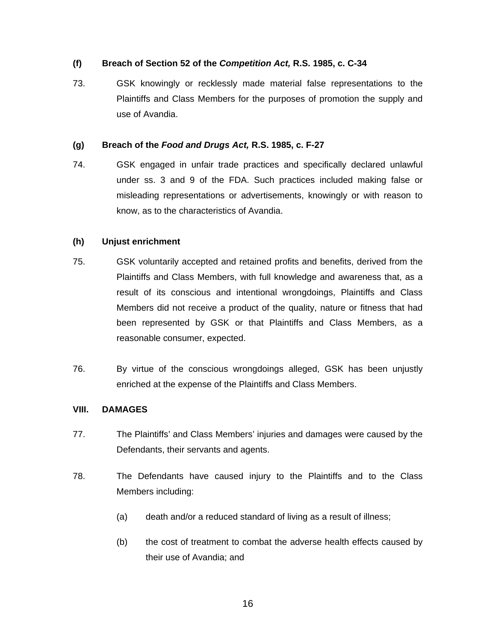## **(f) Breach of Section 52 of the** *Competition Act,* **R.S. 1985, c. C-34**

73. GSK knowingly or recklessly made material false representations to the Plaintiffs and Class Members for the purposes of promotion the supply and use of Avandia.

### **(g) Breach of the** *Food and Drugs Act,* **R.S. 1985, c. F-27**

74. GSK engaged in unfair trade practices and specifically declared unlawful under ss. 3 and 9 of the FDA. Such practices included making false or misleading representations or advertisements, knowingly or with reason to know, as to the characteristics of Avandia.

## **(h) Unjust enrichment**

- 75. GSK voluntarily accepted and retained profits and benefits, derived from the Plaintiffs and Class Members, with full knowledge and awareness that, as a result of its conscious and intentional wrongdoings, Plaintiffs and Class Members did not receive a product of the quality, nature or fitness that had been represented by GSK or that Plaintiffs and Class Members, as a reasonable consumer, expected.
- 76. By virtue of the conscious wrongdoings alleged, GSK has been unjustly enriched at the expense of the Plaintiffs and Class Members.

## **VIII. DAMAGES**

- 77. The Plaintiffs' and Class Members' injuries and damages were caused by the Defendants, their servants and agents.
- 78. The Defendants have caused injury to the Plaintiffs and to the Class Members including:
	- (a) death and/or a reduced standard of living as a result of illness;
	- (b) the cost of treatment to combat the adverse health effects caused by their use of Avandia; and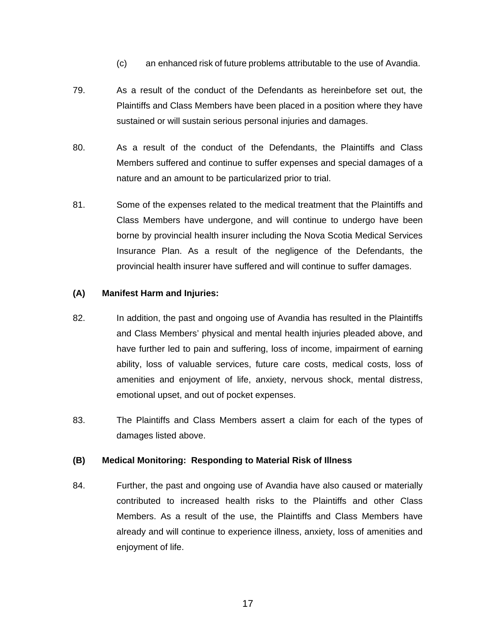- (c) an enhanced risk of future problems attributable to the use of Avandia.
- 79. As a result of the conduct of the Defendants as hereinbefore set out, the Plaintiffs and Class Members have been placed in a position where they have sustained or will sustain serious personal injuries and damages.
- 80. As a result of the conduct of the Defendants, the Plaintiffs and Class Members suffered and continue to suffer expenses and special damages of a nature and an amount to be particularized prior to trial.
- 81. Some of the expenses related to the medical treatment that the Plaintiffs and Class Members have undergone, and will continue to undergo have been borne by provincial health insurer including the Nova Scotia Medical Services Insurance Plan. As a result of the negligence of the Defendants, the provincial health insurer have suffered and will continue to suffer damages.

## **(A) Manifest Harm and Injuries:**

- 82. In addition, the past and ongoing use of Avandia has resulted in the Plaintiffs and Class Members' physical and mental health injuries pleaded above, and have further led to pain and suffering, loss of income, impairment of earning ability, loss of valuable services, future care costs, medical costs, loss of amenities and enjoyment of life, anxiety, nervous shock, mental distress, emotional upset, and out of pocket expenses.
- 83. The Plaintiffs and Class Members assert a claim for each of the types of damages listed above.

## **(B) Medical Monitoring: Responding to Material Risk of Illness**

84. Further, the past and ongoing use of Avandia have also caused or materially contributed to increased health risks to the Plaintiffs and other Class Members. As a result of the use, the Plaintiffs and Class Members have already and will continue to experience illness, anxiety, loss of amenities and enjoyment of life.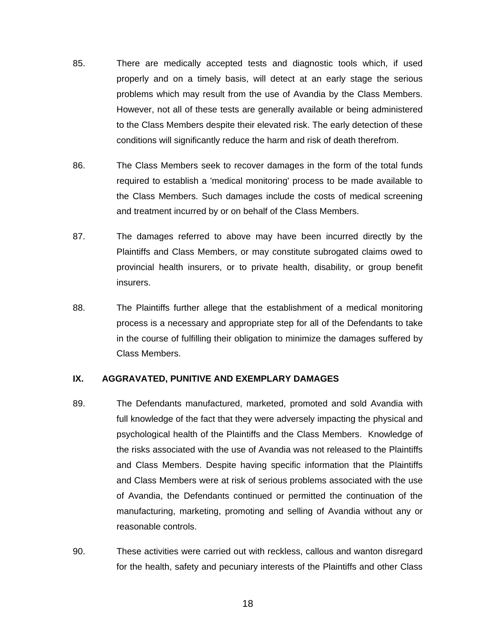- 85. There are medically accepted tests and diagnostic tools which, if used properly and on a timely basis, will detect at an early stage the serious problems which may result from the use of Avandia by the Class Members. However, not all of these tests are generally available or being administered to the Class Members despite their elevated risk. The early detection of these conditions will significantly reduce the harm and risk of death therefrom.
- 86. The Class Members seek to recover damages in the form of the total funds required to establish a 'medical monitoring' process to be made available to the Class Members. Such damages include the costs of medical screening and treatment incurred by or on behalf of the Class Members.
- 87. The damages referred to above may have been incurred directly by the Plaintiffs and Class Members, or may constitute subrogated claims owed to provincial health insurers, or to private health, disability, or group benefit insurers.
- 88. The Plaintiffs further allege that the establishment of a medical monitoring process is a necessary and appropriate step for all of the Defendants to take in the course of fulfilling their obligation to minimize the damages suffered by Class Members.

## **IX. AGGRAVATED, PUNITIVE AND EXEMPLARY DAMAGES**

- 89. The Defendants manufactured, marketed, promoted and sold Avandia with full knowledge of the fact that they were adversely impacting the physical and psychological health of the Plaintiffs and the Class Members. Knowledge of the risks associated with the use of Avandia was not released to the Plaintiffs and Class Members. Despite having specific information that the Plaintiffs and Class Members were at risk of serious problems associated with the use of Avandia, the Defendants continued or permitted the continuation of the manufacturing, marketing, promoting and selling of Avandia without any or reasonable controls.
- 90. These activities were carried out with reckless, callous and wanton disregard for the health, safety and pecuniary interests of the Plaintiffs and other Class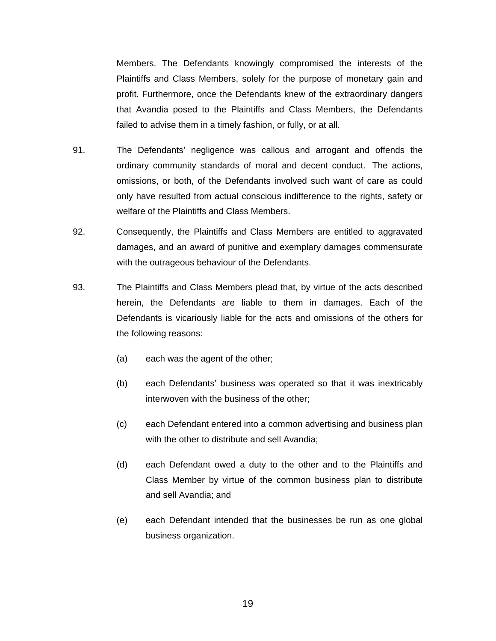Members. The Defendants knowingly compromised the interests of the Plaintiffs and Class Members, solely for the purpose of monetary gain and profit. Furthermore, once the Defendants knew of the extraordinary dangers that Avandia posed to the Plaintiffs and Class Members, the Defendants failed to advise them in a timely fashion, or fully, or at all.

- 91. The Defendants' negligence was callous and arrogant and offends the ordinary community standards of moral and decent conduct. The actions, omissions, or both, of the Defendants involved such want of care as could only have resulted from actual conscious indifference to the rights, safety or welfare of the Plaintiffs and Class Members.
- 92. Consequently, the Plaintiffs and Class Members are entitled to aggravated damages, and an award of punitive and exemplary damages commensurate with the outrageous behaviour of the Defendants.
- 93. The Plaintiffs and Class Members plead that, by virtue of the acts described herein, the Defendants are liable to them in damages. Each of the Defendants is vicariously liable for the acts and omissions of the others for the following reasons:
	- (a) each was the agent of the other;
	- (b) each Defendants' business was operated so that it was inextricably interwoven with the business of the other;
	- (c) each Defendant entered into a common advertising and business plan with the other to distribute and sell Avandia;
	- (d) each Defendant owed a duty to the other and to the Plaintiffs and Class Member by virtue of the common business plan to distribute and sell Avandia; and
	- (e) each Defendant intended that the businesses be run as one global business organization.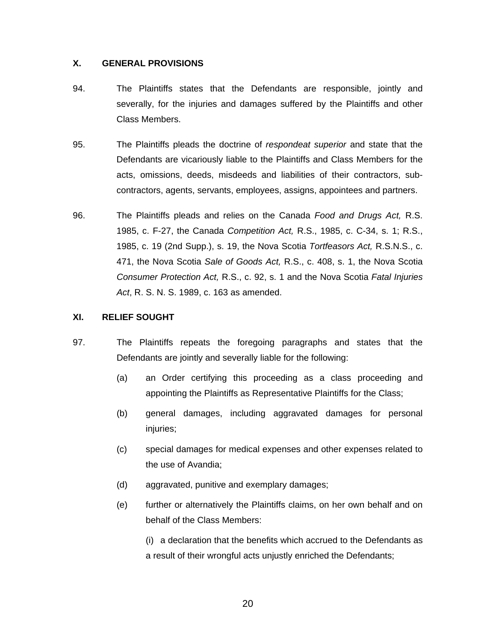## **X. GENERAL PROVISIONS**

- 94. The Plaintiffs states that the Defendants are responsible, jointly and severally, for the injuries and damages suffered by the Plaintiffs and other Class Members.
- 95. The Plaintiffs pleads the doctrine of *respondeat superior* and state that the Defendants are vicariously liable to the Plaintiffs and Class Members for the acts, omissions, deeds, misdeeds and liabilities of their contractors, subcontractors, agents, servants, employees, assigns, appointees and partners.
- 96. The Plaintiffs pleads and relies on the Canada *Food and Drugs Act,* R.S. 1985, c. F-27, the Canada *Competition Act,* R.S., 1985, c. C-34, s. 1; R.S., 1985, c. 19 (2nd Supp.), s. 19, the Nova Scotia *Tortfeasors Act,* R.S.N.S., c. 471, the Nova Scotia *Sale of Goods Act,* R.S., c. 408, s. 1, the Nova Scotia *Consumer Protection Act,* R.S., c. 92, s. 1 and the Nova Scotia *Fatal Injuries Act*, R. S. N. S. 1989, c. 163 as amended.

## **XI. RELIEF SOUGHT**

- 97. The Plaintiffs repeats the foregoing paragraphs and states that the Defendants are jointly and severally liable for the following:
	- (a) an Order certifying this proceeding as a class proceeding and appointing the Plaintiffs as Representative Plaintiffs for the Class;
	- (b) general damages, including aggravated damages for personal injuries;
	- (c) special damages for medical expenses and other expenses related to the use of Avandia;
	- (d) aggravated, punitive and exemplary damages;
	- (e) further or alternatively the Plaintiffs claims, on her own behalf and on behalf of the Class Members:

(i) a declaration that the benefits which accrued to the Defendants as a result of their wrongful acts unjustly enriched the Defendants;